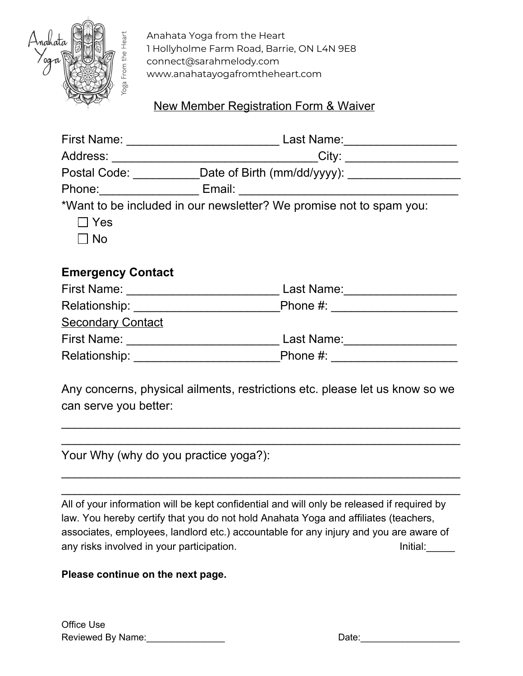

Anahata Yoga from the Heart 1 Hollyholme Farm Road, Barrie, ON L4N 9E8 connect@sarahmelody.com www.anahatayogafromtheheart.com

## New Member Registration Form & Waiver

|                          | Postal Code: ___________Date of Birth (mm/dd/yyyy): ____________________ |
|--------------------------|--------------------------------------------------------------------------|
|                          |                                                                          |
|                          | *Want to be included in our newsletter? We promise not to spam you:      |
| $\Box$ Yes               |                                                                          |
| $\Box$ No                |                                                                          |
|                          |                                                                          |
| <b>Emergency Contact</b> |                                                                          |
|                          |                                                                          |
|                          |                                                                          |
| <b>Secondary Contact</b> |                                                                          |
|                          | Last Name: 1988 1999                                                     |
|                          |                                                                          |
|                          |                                                                          |
|                          |                                                                          |

Any concerns, physical ailments, restrictions etc. please let us know so we can serve you better:

 $\_$  $\_$ 

 $\_$  $\_$ 

Your Why (why do you practice yoga?):

All of your information will be kept confidential and will only be released if required by law. You hereby certify that you do not hold Anahata Yoga and affiliates (teachers, associates, employees, landlord etc.) accountable for any injury and you are aware of any risks involved in your participation. Initial: Initial:

## **Please continue on the next page.**